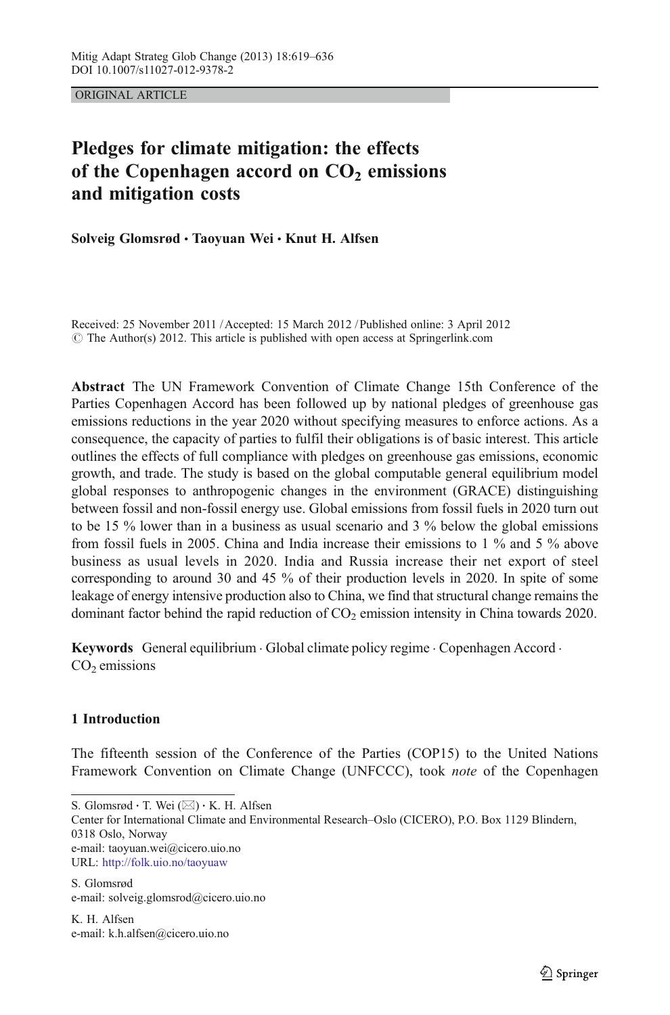ORIGINAL ARTICLE

# Pledges for climate mitigation: the effects of the Copenhagen accord on  $CO<sub>2</sub>$  emissions and mitigation costs

Solveig Glomsrød & Taoyuan Wei & Knut H. Alfsen

Received: 25 November 2011 / Accepted: 15 March 2012 / Published online: 3 April 2012  $\circ$  The Author(s) 2012. This article is published with open access at Springerlink.com

Abstract The UN Framework Convention of Climate Change 15th Conference of the Parties Copenhagen Accord has been followed up by national pledges of greenhouse gas emissions reductions in the year 2020 without specifying measures to enforce actions. As a consequence, the capacity of parties to fulfil their obligations is of basic interest. This article outlines the effects of full compliance with pledges on greenhouse gas emissions, economic growth, and trade. The study is based on the global computable general equilibrium model global responses to anthropogenic changes in the environment (GRACE) distinguishing between fossil and non-fossil energy use. Global emissions from fossil fuels in 2020 turn out to be 15 % lower than in a business as usual scenario and 3 % below the global emissions from fossil fuels in 2005. China and India increase their emissions to 1 % and 5 % above business as usual levels in 2020. India and Russia increase their net export of steel corresponding to around 30 and 45 % of their production levels in 2020. In spite of some leakage of energy intensive production also to China, we find that structural change remains the dominant factor behind the rapid reduction of  $CO<sub>2</sub>$  emission intensity in China towards 2020.

Keywords General equilibrium · Global climate policy regime · Copenhagen Accord ·  $CO<sub>2</sub>$  emissions

# 1 Introduction

The fifteenth session of the Conference of the Parties (COP15) to the United Nations Framework Convention on Climate Change (UNFCCC), took note of the Copenhagen

S. Glomsrød · T. Wei  $(\boxtimes)$  · K. H. Alfsen

Center for International Climate and Environmental Research–Oslo (CICERO), P.O. Box 1129 Blindern, 0318 Oslo, Norway

e-mail: taoyuan.wei@cicero.uio.no URL: http://folk.uio.no/taoyuaw

S. Glomsrød e-mail: solveig.glomsrod@cicero.uio.no

K. H. Alfsen e-mail: k.h.alfsen@cicero.uio.no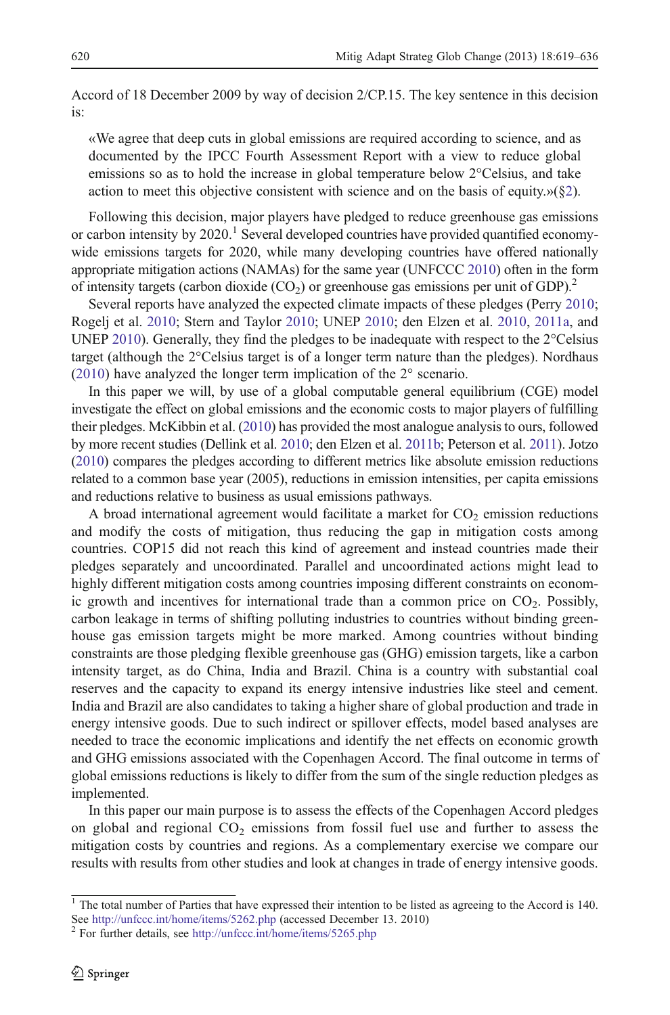Accord of 18 December 2009 by way of decision 2/CP.15. The key sentence in this decision is:

«We agree that deep cuts in global emissions are required according to science, and as documented by the IPCC Fourth Assessment Report with a view to reduce global emissions so as to hold the increase in global temperature below 2°Celsius, and take action to meet this objective consistent with science and on the basis of equity.» $(\S 2)$ .

Following this decision, major players have pledged to reduce greenhouse gas emissions or carbon intensity by  $2020<sup>1</sup>$  Several developed countries have provided quantified economywide emissions targets for 2020, while many developing countries have offered nationally appropriate mitigation actions (NAMAs) for the same year (UNFCCC [2010](#page-17-0)) often in the form of intensity targets (carbon dioxide  $(CO<sub>2</sub>)$ ) or greenhouse gas emissions per unit of GDP).<sup>2</sup>

Several reports have analyzed the expected climate impacts of these pledges (Perry [2010](#page-17-0); Rogelj et al. [2010](#page-17-0); Stern and Taylor [2010](#page-17-0); UNEP [2010](#page-17-0); den Elzen et al. [2010,](#page-16-0) [2011a,](#page-16-0) and UNEP [2010\)](#page-17-0). Generally, they find the pledges to be inadequate with respect to the 2°Celsius target (although the 2°Celsius target is of a longer term nature than the pledges). Nordhaus ([2010\)](#page-17-0) have analyzed the longer term implication of the 2° scenario.

In this paper we will, by use of a global computable general equilibrium (CGE) model investigate the effect on global emissions and the economic costs to major players of fulfilling their pledges. McKibbin et al. [\(2010\)](#page-17-0) has provided the most analogue analysis to ours, followed by more recent studies (Dellink et al. [2010;](#page-16-0) den Elzen et al. [2011b;](#page-17-0) Peterson et al. [2011\)](#page-17-0). Jotzo ([2010](#page-17-0)) compares the pledges according to different metrics like absolute emission reductions related to a common base year (2005), reductions in emission intensities, per capita emissions and reductions relative to business as usual emissions pathways.

A broad international agreement would facilitate a market for  $CO<sub>2</sub>$  emission reductions and modify the costs of mitigation, thus reducing the gap in mitigation costs among countries. COP15 did not reach this kind of agreement and instead countries made their pledges separately and uncoordinated. Parallel and uncoordinated actions might lead to highly different mitigation costs among countries imposing different constraints on economic growth and incentives for international trade than a common price on  $CO<sub>2</sub>$ . Possibly, carbon leakage in terms of shifting polluting industries to countries without binding greenhouse gas emission targets might be more marked. Among countries without binding constraints are those pledging flexible greenhouse gas (GHG) emission targets, like a carbon intensity target, as do China, India and Brazil. China is a country with substantial coal reserves and the capacity to expand its energy intensive industries like steel and cement. India and Brazil are also candidates to taking a higher share of global production and trade in energy intensive goods. Due to such indirect or spillover effects, model based analyses are needed to trace the economic implications and identify the net effects on economic growth and GHG emissions associated with the Copenhagen Accord. The final outcome in terms of global emissions reductions is likely to differ from the sum of the single reduction pledges as implemented.

In this paper our main purpose is to assess the effects of the Copenhagen Accord pledges on global and regional  $CO<sub>2</sub>$  emissions from fossil fuel use and further to assess the mitigation costs by countries and regions. As a complementary exercise we compare our results with results from other studies and look at changes in trade of energy intensive goods.

<sup>&</sup>lt;sup>1</sup> The total number of Parties that have expressed their intention to be listed as agreeing to the Accord is 140. See <http://unfccc.int/home/items/5262.php> (accessed December 13. 2010)<br><sup>2</sup> For further details, see <http://unfccc.int/home/items/5265.php>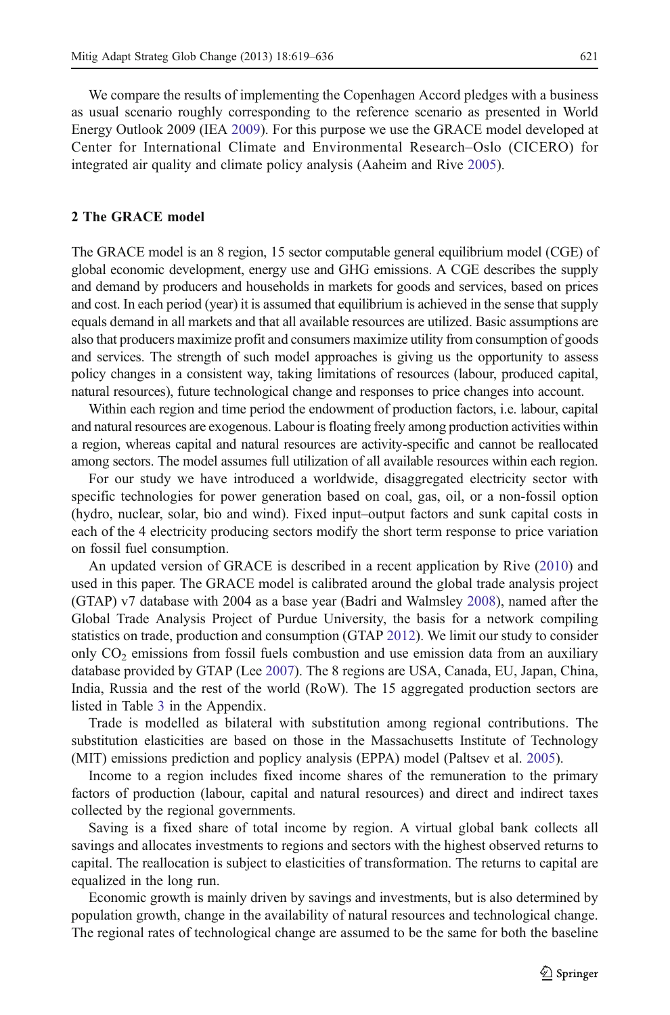<span id="page-2-0"></span>We compare the results of implementing the Copenhagen Accord pledges with a business as usual scenario roughly corresponding to the reference scenario as presented in World Energy Outlook 2009 (IEA [2009\)](#page-17-0). For this purpose we use the GRACE model developed at Center for International Climate and Environmental Research–Oslo (CICERO) for integrated air quality and climate policy analysis (Aaheim and Rive [2005\)](#page-16-0).

#### 2 The GRACE model

The GRACE model is an 8 region, 15 sector computable general equilibrium model (CGE) of global economic development, energy use and GHG emissions. A CGE describes the supply and demand by producers and households in markets for goods and services, based on prices and cost. In each period (year) it is assumed that equilibrium is achieved in the sense that supply equals demand in all markets and that all available resources are utilized. Basic assumptions are also that producers maximize profit and consumers maximize utility from consumption of goods and services. The strength of such model approaches is giving us the opportunity to assess policy changes in a consistent way, taking limitations of resources (labour, produced capital, natural resources), future technological change and responses to price changes into account.

Within each region and time period the endowment of production factors, i.e. labour, capital and natural resources are exogenous. Labour is floating freely among production activities within a region, whereas capital and natural resources are activity-specific and cannot be reallocated among sectors. The model assumes full utilization of all available resources within each region.

For our study we have introduced a worldwide, disaggregated electricity sector with specific technologies for power generation based on coal, gas, oil, or a non-fossil option (hydro, nuclear, solar, bio and wind). Fixed input–output factors and sunk capital costs in each of the 4 electricity producing sectors modify the short term response to price variation on fossil fuel consumption.

An updated version of GRACE is described in a recent application by Rive ([2010\)](#page-17-0) and used in this paper. The GRACE model is calibrated around the global trade analysis project (GTAP) v7 database with 2004 as a base year (Badri and Walmsley [2008](#page-16-0)), named after the Global Trade Analysis Project of Purdue University, the basis for a network compiling statistics on trade, production and consumption (GTAP [2012\)](#page-17-0). We limit our study to consider only  $CO<sub>2</sub>$  emissions from fossil fuels combustion and use emission data from an auxiliary database provided by GTAP (Lee [2007](#page-17-0)). The 8 regions are USA, Canada, EU, Japan, China, India, Russia and the rest of the world (RoW). The 15 aggregated production sectors are listed in Table [3](#page-16-0) in the Appendix.

Trade is modelled as bilateral with substitution among regional contributions. The substitution elasticities are based on those in the Massachusetts Institute of Technology (MIT) emissions prediction and poplicy analysis (EPPA) model (Paltsev et al. [2005\)](#page-17-0).

Income to a region includes fixed income shares of the remuneration to the primary factors of production (labour, capital and natural resources) and direct and indirect taxes collected by the regional governments.

Saving is a fixed share of total income by region. A virtual global bank collects all savings and allocates investments to regions and sectors with the highest observed returns to capital. The reallocation is subject to elasticities of transformation. The returns to capital are equalized in the long run.

Economic growth is mainly driven by savings and investments, but is also determined by population growth, change in the availability of natural resources and technological change. The regional rates of technological change are assumed to be the same for both the baseline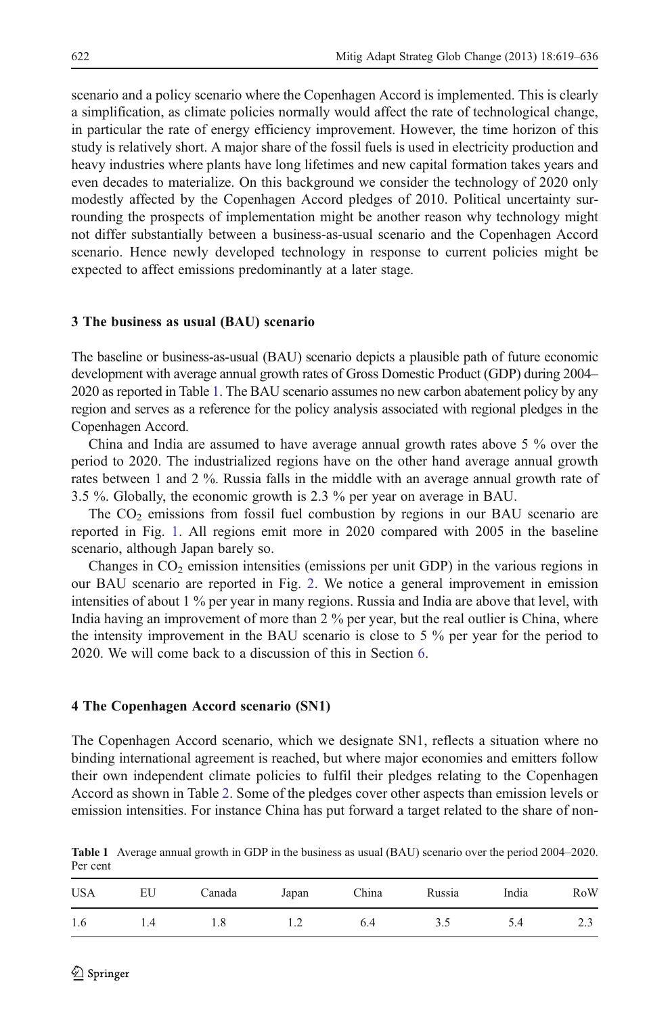scenario and a policy scenario where the Copenhagen Accord is implemented. This is clearly a simplification, as climate policies normally would affect the rate of technological change, in particular the rate of energy efficiency improvement. However, the time horizon of this study is relatively short. A major share of the fossil fuels is used in electricity production and heavy industries where plants have long lifetimes and new capital formation takes years and even decades to materialize. On this background we consider the technology of 2020 only modestly affected by the Copenhagen Accord pledges of 2010. Political uncertainty surrounding the prospects of implementation might be another reason why technology might not differ substantially between a business-as-usual scenario and the Copenhagen Accord scenario. Hence newly developed technology in response to current policies might be expected to affect emissions predominantly at a later stage.

#### 3 The business as usual (BAU) scenario

The baseline or business-as-usual (BAU) scenario depicts a plausible path of future economic development with average annual growth rates of Gross Domestic Product (GDP) during 2004– 2020 as reported in Table 1. The BAU scenario assumes no new carbon abatement policy by any region and serves as a reference for the policy analysis associated with regional pledges in the Copenhagen Accord.

China and India are assumed to have average annual growth rates above 5 % over the period to 2020. The industrialized regions have on the other hand average annual growth rates between 1 and 2 %. Russia falls in the middle with an average annual growth rate of 3.5 %. Globally, the economic growth is 2.3 % per year on average in BAU.

The  $CO<sub>2</sub>$  emissions from fossil fuel combustion by regions in our BAU scenario are reported in Fig. [1](#page-4-0). All regions emit more in 2020 compared with 2005 in the baseline scenario, although Japan barely so.

Changes in  $CO<sub>2</sub>$  emission intensities (emissions per unit GDP) in the various regions in our BAU scenario are reported in Fig. [2](#page-4-0). We notice a general improvement in emission intensities of about 1 % per year in many regions. Russia and India are above that level, with India having an improvement of more than 2 % per year, but the real outlier is China, where the intensity improvement in the BAU scenario is close to 5 % per year for the period to 2020. We will come back to a discussion of this in Section [6.](#page-10-0)

#### 4 The Copenhagen Accord scenario (SN1)

The Copenhagen Accord scenario, which we designate SN1, reflects a situation where no binding international agreement is reached, but where major economies and emitters follow their own independent climate policies to fulfil their pledges relating to the Copenhagen Accord as shown in Table [2.](#page-5-0) Some of the pledges cover other aspects than emission levels or emission intensities. For instance China has put forward a target related to the share of non-

Table 1 Average annual growth in GDP in the business as usual (BAU) scenario over the period 2004–2020. Per cent

| <b>USA</b> | EU | Canada | Japan | China | Russia | India | RoW   |
|------------|----|--------|-------|-------|--------|-------|-------|
| 1.6        |    | 1.8    | .     | 6.4   | 3.5    | 5.4   | ر . ب |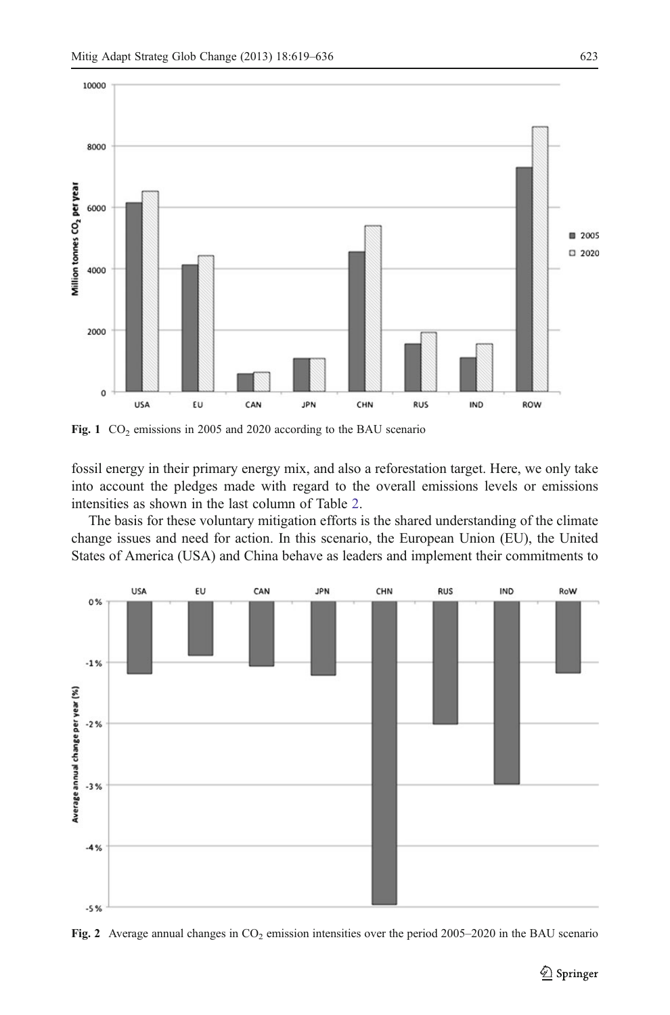<span id="page-4-0"></span>

Fig. 1 CO<sub>2</sub> emissions in 2005 and 2020 according to the BAU scenario

fossil energy in their primary energy mix, and also a reforestation target. Here, we only take into account the pledges made with regard to the overall emissions levels or emissions intensities as shown in the last column of Table [2.](#page-5-0)

The basis for these voluntary mitigation efforts is the shared understanding of the climate change issues and need for action. In this scenario, the European Union (EU), the United States of America (USA) and China behave as leaders and implement their commitments to



Fig. 2 Average annual changes in  $CO<sub>2</sub>$  emission intensities over the period 2005–2020 in the BAU scenario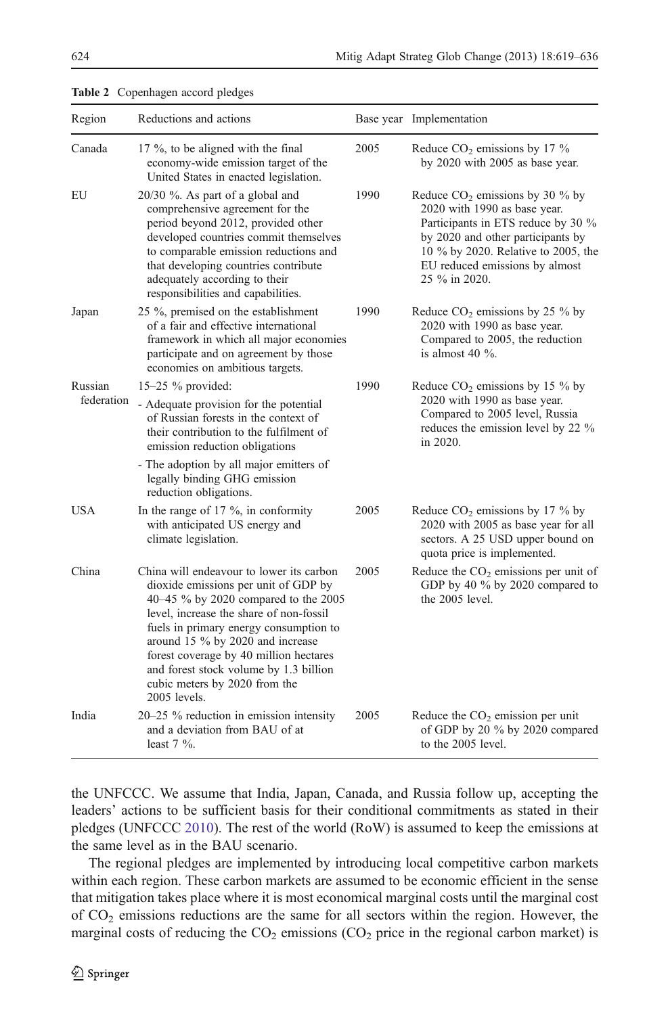the same level as in the BAU scenario.

the UNFCCC. We assume that India, Japan, Canada, and Russia follow up, accepting the leaders' actions to be sufficient basis for their conditional commitments as stated in their pledges (UNFCCC [2010](#page-17-0)). The rest of the world (RoW) is assumed to keep the emissions at quota price is implemented. China China will endeavour to lower its carbon dioxide emissions per unit of GDP by 40–45 % by 2020 compared to the 2005 level, increase the share of non-fossil fuels in primary energy consumption to around 15 % by 2020 and increase forest coverage by 40 million hectares and forest stock volume by 1.3 billion cubic meters by 2020 from the 2005 levels. the 2005 level. India 20–25 % reduction in emission intensity and a deviation from BAU of at least 7 %. 2005 Reduce the  $CO<sub>2</sub>$  emission per unit to the 2005 level.

The regional pledges are implemented by introducing local competitive carbon markets within each region. These carbon markets are assumed to be economic efficient in the sense that mitigation takes place where it is most economical marginal costs until the marginal cost of  $CO<sub>2</sub>$  emissions reductions are the same for all sectors within the region. However, the marginal costs of reducing the  $CO<sub>2</sub>$  emissions ( $CO<sub>2</sub>$  price in the regional carbon market) is

Table 2 Copenhagen accord pledges

| Region                | Reductions and actions                                                                                                                                                                                                                                                                                                                                                                 |      | Base year Implementation                                                                                                                                                                                                               |  |
|-----------------------|----------------------------------------------------------------------------------------------------------------------------------------------------------------------------------------------------------------------------------------------------------------------------------------------------------------------------------------------------------------------------------------|------|----------------------------------------------------------------------------------------------------------------------------------------------------------------------------------------------------------------------------------------|--|
| Canada                | 17 %, to be aligned with the final<br>economy-wide emission target of the<br>United States in enacted legislation.                                                                                                                                                                                                                                                                     | 2005 | Reduce $CO2$ emissions by 17 %<br>by 2020 with 2005 as base year.                                                                                                                                                                      |  |
| EU                    | $20/30$ %. As part of a global and<br>comprehensive agreement for the<br>period beyond 2012, provided other<br>developed countries commit themselves<br>to comparable emission reductions and<br>that developing countries contribute<br>adequately according to their<br>responsibilities and capabilities.                                                                           | 1990 | Reduce $CO2$ emissions by 30 % by<br>2020 with 1990 as base year.<br>Participants in ETS reduce by 30 %<br>by 2020 and other participants by<br>10 % by 2020. Relative to 2005, the<br>EU reduced emissions by almost<br>25 % in 2020. |  |
| Japan                 | 25 %, premised on the establishment<br>of a fair and effective international<br>framework in which all major economies<br>participate and on agreement by those<br>economies on ambitious targets.                                                                                                                                                                                     | 1990 | Reduce $CO2$ emissions by 25 % by<br>2020 with 1990 as base year.<br>Compared to 2005, the reduction<br>is almost 40 $\%$ .                                                                                                            |  |
| Russian<br>federation | $15-25$ % provided:<br>- Adequate provision for the potential<br>of Russian forests in the context of<br>their contribution to the fulfilment of<br>emission reduction obligations                                                                                                                                                                                                     | 1990 | Reduce $CO2$ emissions by 15 % by<br>2020 with 1990 as base year.<br>Compared to 2005 level, Russia<br>reduces the emission level by 22 %<br>in 2020.                                                                                  |  |
|                       | - The adoption by all major emitters of<br>legally binding GHG emission<br>reduction obligations.                                                                                                                                                                                                                                                                                      |      |                                                                                                                                                                                                                                        |  |
| <b>USA</b>            | In the range of 17 $\%$ , in conformity<br>with anticipated US energy and<br>climate legislation.                                                                                                                                                                                                                                                                                      | 2005 | Reduce $CO2$ emissions by 17 % by<br>2020 with 2005 as base year for all<br>sectors. A 25 USD upper bound on<br>quota price is implemented.                                                                                            |  |
| China                 | China will endeavour to lower its carbon<br>dioxide emissions per unit of GDP by<br>40–45 % by 2020 compared to the 2005<br>level, increase the share of non-fossil<br>fuels in primary energy consumption to<br>around 15 % by 2020 and increase<br>forest coverage by 40 million hectares<br>and forest stock volume by 1.3 billion<br>cubic meters by 2020 from the<br>2005 levels. | 2005 | Reduce the $CO2$ emissions per unit of<br>GDP by 40 % by 2020 compared to<br>the 2005 level.                                                                                                                                           |  |
| India                 | $20-25$ % reduction in emission intensity<br>and a deviation from BAU of at<br>least $7\%$ .                                                                                                                                                                                                                                                                                           | 2005 | Reduce the $CO2$ emission per unit<br>of GDP by 20 % by 2020 compared<br>to the 2005 level.                                                                                                                                            |  |

<span id="page-5-0"></span>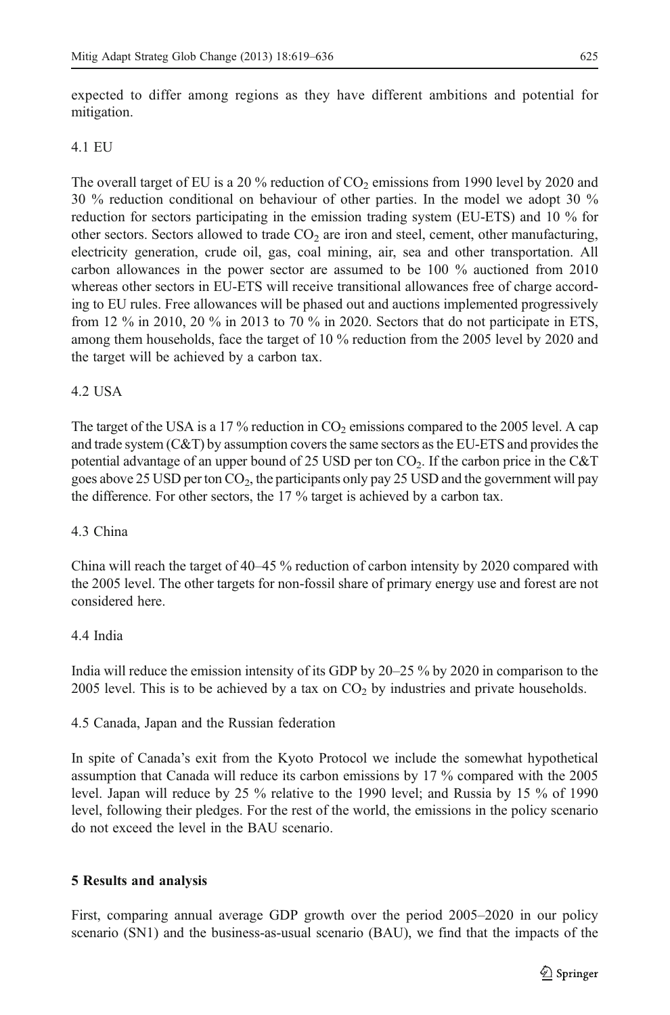expected to differ among regions as they have different ambitions and potential for mitigation.

# 4.1 EU

The overall target of EU is a 20 % reduction of  $CO<sub>2</sub>$  emissions from 1990 level by 2020 and 30 % reduction conditional on behaviour of other parties. In the model we adopt 30 % reduction for sectors participating in the emission trading system (EU-ETS) and 10 % for other sectors. Sectors allowed to trade  $CO<sub>2</sub>$  are iron and steel, cement, other manufacturing, electricity generation, crude oil, gas, coal mining, air, sea and other transportation. All carbon allowances in the power sector are assumed to be 100 % auctioned from 2010 whereas other sectors in EU-ETS will receive transitional allowances free of charge according to EU rules. Free allowances will be phased out and auctions implemented progressively from 12 % in 2010, 20 % in 2013 to 70 % in 2020. Sectors that do not participate in ETS, among them households, face the target of 10 % reduction from the 2005 level by 2020 and the target will be achieved by a carbon tax.

# 4.2 USA

The target of the USA is a 17% reduction in  $CO<sub>2</sub>$  emissions compared to the 2005 level. A cap and trade system ( $C&T$ ) by assumption covers the same sectors as the EU-ETS and provides the potential advantage of an upper bound of 25 USD per ton  $CO<sub>2</sub>$ . If the carbon price in the C&T goes above 25 USD per ton  $CO<sub>2</sub>$ , the participants only pay 25 USD and the government will pay the difference. For other sectors, the 17 % target is achieved by a carbon tax.

### 4.3 China

China will reach the target of 40–45 % reduction of carbon intensity by 2020 compared with the 2005 level. The other targets for non-fossil share of primary energy use and forest are not considered here.

# 4.4 India

India will reduce the emission intensity of its GDP by 20–25 % by 2020 in comparison to the 2005 level. This is to be achieved by a tax on  $CO<sub>2</sub>$  by industries and private households.

4.5 Canada, Japan and the Russian federation

In spite of Canada's exit from the Kyoto Protocol we include the somewhat hypothetical assumption that Canada will reduce its carbon emissions by 17 % compared with the 2005 level. Japan will reduce by 25 % relative to the 1990 level; and Russia by 15 % of 1990 level, following their pledges. For the rest of the world, the emissions in the policy scenario do not exceed the level in the BAU scenario.

# 5 Results and analysis

First, comparing annual average GDP growth over the period 2005–2020 in our policy scenario (SN1) and the business-as-usual scenario (BAU), we find that the impacts of the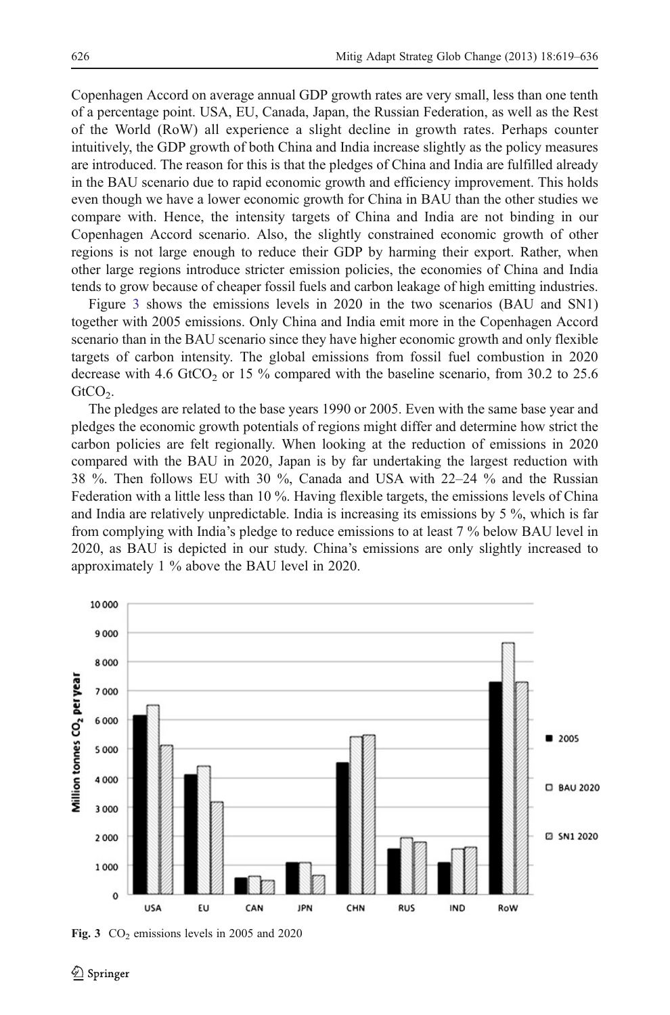Copenhagen Accord on average annual GDP growth rates are very small, less than one tenth of a percentage point. USA, EU, Canada, Japan, the Russian Federation, as well as the Rest of the World (RoW) all experience a slight decline in growth rates. Perhaps counter intuitively, the GDP growth of both China and India increase slightly as the policy measures are introduced. The reason for this is that the pledges of China and India are fulfilled already in the BAU scenario due to rapid economic growth and efficiency improvement. This holds even though we have a lower economic growth for China in BAU than the other studies we compare with. Hence, the intensity targets of China and India are not binding in our Copenhagen Accord scenario. Also, the slightly constrained economic growth of other regions is not large enough to reduce their GDP by harming their export. Rather, when other large regions introduce stricter emission policies, the economies of China and India tends to grow because of cheaper fossil fuels and carbon leakage of high emitting industries.

Figure 3 shows the emissions levels in 2020 in the two scenarios (BAU and SN1) together with 2005 emissions. Only China and India emit more in the Copenhagen Accord scenario than in the BAU scenario since they have higher economic growth and only flexible targets of carbon intensity. The global emissions from fossil fuel combustion in 2020 decrease with 4.6 GtCO<sub>2</sub> or 15 % compared with the baseline scenario, from 30.2 to 25.6  $GtCO<sub>2</sub>$ .

The pledges are related to the base years 1990 or 2005. Even with the same base year and pledges the economic growth potentials of regions might differ and determine how strict the carbon policies are felt regionally. When looking at the reduction of emissions in 2020 compared with the BAU in 2020, Japan is by far undertaking the largest reduction with 38 %. Then follows EU with 30 %, Canada and USA with 22–24 % and the Russian Federation with a little less than 10 %. Having flexible targets, the emissions levels of China and India are relatively unpredictable. India is increasing its emissions by 5 %, which is far from complying with India's pledge to reduce emissions to at least 7 % below BAU level in 2020, as BAU is depicted in our study. China's emissions are only slightly increased to approximately 1 % above the BAU level in 2020.



Fig. 3  $CO<sub>2</sub>$  emissions levels in 2005 and 2020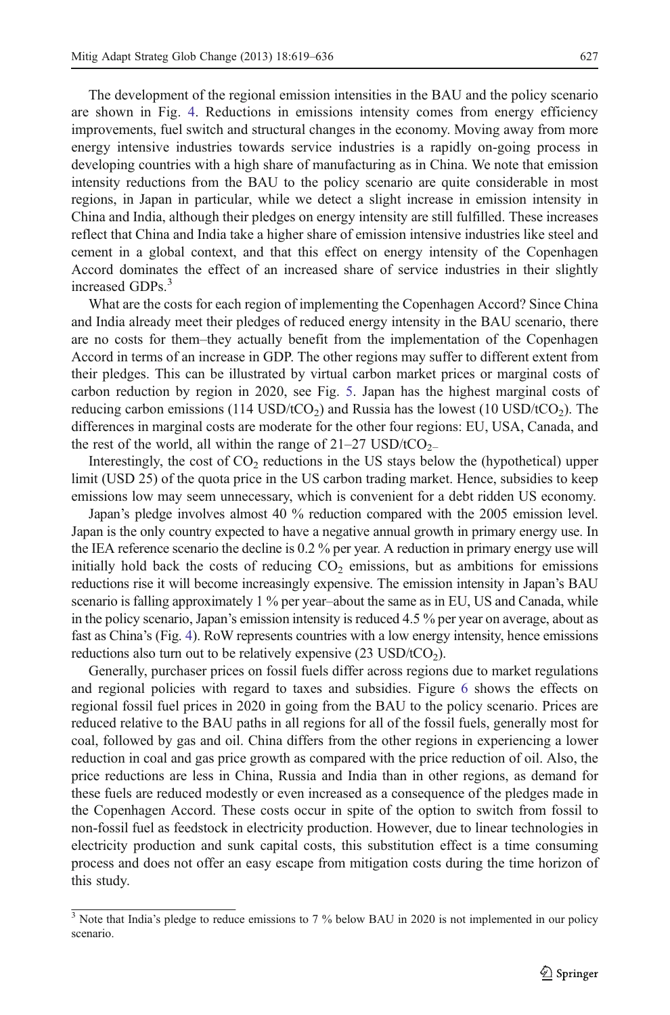The development of the regional emission intensities in the BAU and the policy scenario are shown in Fig. [4](#page-9-0). Reductions in emissions intensity comes from energy efficiency improvements, fuel switch and structural changes in the economy. Moving away from more energy intensive industries towards service industries is a rapidly on-going process in developing countries with a high share of manufacturing as in China. We note that emission intensity reductions from the BAU to the policy scenario are quite considerable in most regions, in Japan in particular, while we detect a slight increase in emission intensity in China and India, although their pledges on energy intensity are still fulfilled. These increases reflect that China and India take a higher share of emission intensive industries like steel and cement in a global context, and that this effect on energy intensity of the Copenhagen Accord dominates the effect of an increased share of service industries in their slightly increased GDPs.<sup>3</sup>

What are the costs for each region of implementing the Copenhagen Accord? Since China and India already meet their pledges of reduced energy intensity in the BAU scenario, there are no costs for them–they actually benefit from the implementation of the Copenhagen Accord in terms of an increase in GDP. The other regions may suffer to different extent from their pledges. This can be illustrated by virtual carbon market prices or marginal costs of carbon reduction by region in 2020, see Fig. [5.](#page-9-0) Japan has the highest marginal costs of reducing carbon emissions (114 USD/tCO<sub>2</sub>) and Russia has the lowest (10 USD/tCO<sub>2</sub>). The differences in marginal costs are moderate for the other four regions: EU, USA, Canada, and the rest of the world, all within the range of  $21–27$  USD/tCO<sub>2−</sub>

Interestingly, the cost of  $CO<sub>2</sub>$  reductions in the US stays below the (hypothetical) upper limit (USD 25) of the quota price in the US carbon trading market. Hence, subsidies to keep emissions low may seem unnecessary, which is convenient for a debt ridden US economy.

Japan's pledge involves almost 40 % reduction compared with the 2005 emission level. Japan is the only country expected to have a negative annual growth in primary energy use. In the IEA reference scenario the decline is 0.2 % per year. A reduction in primary energy use will initially hold back the costs of reducing  $CO<sub>2</sub>$  emissions, but as ambitions for emissions reductions rise it will become increasingly expensive. The emission intensity in Japan's BAU scenario is falling approximately 1 % per year–about the same as in EU, US and Canada, while in the policy scenario, Japan's emission intensity is reduced 4.5 % per year on average, about as fast as China's (Fig. [4](#page-9-0)). RoW represents countries with a low energy intensity, hence emissions reductions also turn out to be relatively expensive  $(23 \text{ USD/tCO}_2)$ .

Generally, purchaser prices on fossil fuels differ across regions due to market regulations and regional policies with regard to taxes and subsidies. Figure [6](#page-10-0) shows the effects on regional fossil fuel prices in 2020 in going from the BAU to the policy scenario. Prices are reduced relative to the BAU paths in all regions for all of the fossil fuels, generally most for coal, followed by gas and oil. China differs from the other regions in experiencing a lower reduction in coal and gas price growth as compared with the price reduction of oil. Also, the price reductions are less in China, Russia and India than in other regions, as demand for these fuels are reduced modestly or even increased as a consequence of the pledges made in the Copenhagen Accord. These costs occur in spite of the option to switch from fossil to non-fossil fuel as feedstock in electricity production. However, due to linear technologies in electricity production and sunk capital costs, this substitution effect is a time consuming process and does not offer an easy escape from mitigation costs during the time horizon of this study.

<sup>&</sup>lt;sup>3</sup> Note that India's pledge to reduce emissions to 7 % below BAU in 2020 is not implemented in our policy scenario.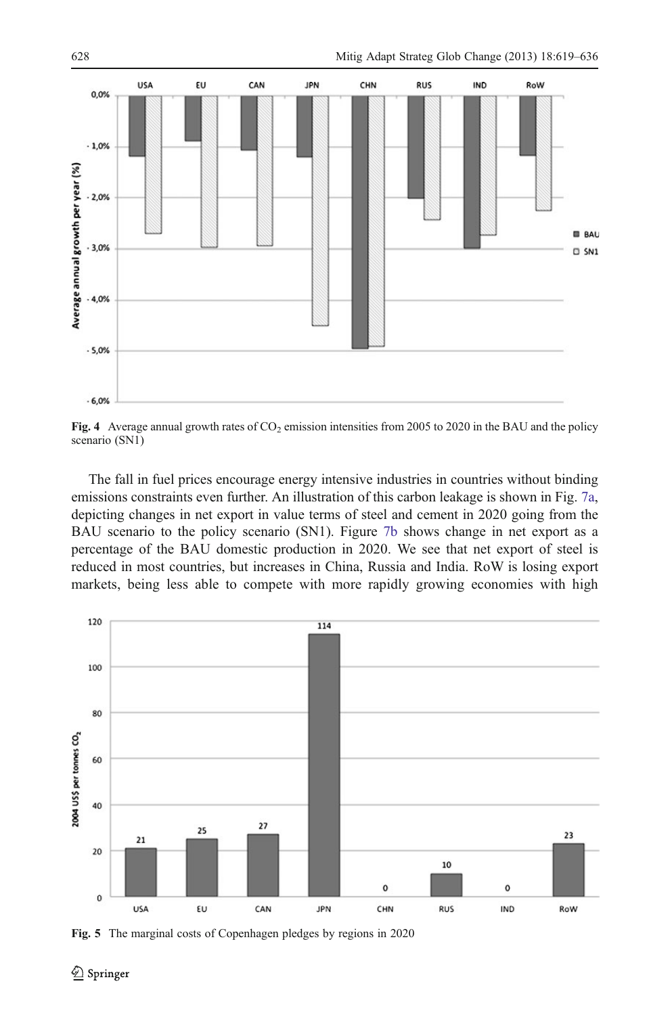<span id="page-9-0"></span>

Fig. 4 Average annual growth rates of  $CO<sub>2</sub>$  emission intensities from 2005 to 2020 in the BAU and the policy scenario (SN1)

The fall in fuel prices encourage energy intensive industries in countries without binding emissions constraints even further. An illustration of this carbon leakage is shown in Fig. [7a](#page-11-0), depicting changes in net export in value terms of steel and cement in 2020 going from the BAU scenario to the policy scenario (SN1). Figure [7b](#page-11-0) shows change in net export as a percentage of the BAU domestic production in 2020. We see that net export of steel is reduced in most countries, but increases in China, Russia and India. RoW is losing export markets, being less able to compete with more rapidly growing economies with high



Fig. 5 The marginal costs of Copenhagen pledges by regions in 2020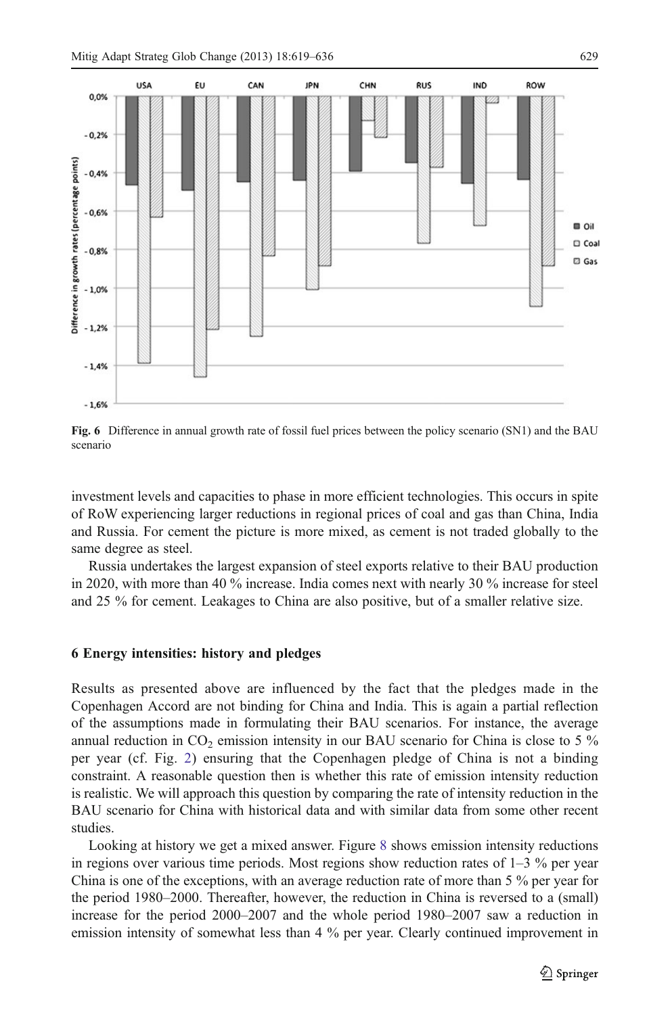<span id="page-10-0"></span>

Fig. 6 Difference in annual growth rate of fossil fuel prices between the policy scenario (SN1) and the BAU scenario

investment levels and capacities to phase in more efficient technologies. This occurs in spite of RoW experiencing larger reductions in regional prices of coal and gas than China, India and Russia. For cement the picture is more mixed, as cement is not traded globally to the same degree as steel.

Russia undertakes the largest expansion of steel exports relative to their BAU production in 2020, with more than 40 % increase. India comes next with nearly 30 % increase for steel and 25 % for cement. Leakages to China are also positive, but of a smaller relative size.

#### 6 Energy intensities: history and pledges

Results as presented above are influenced by the fact that the pledges made in the Copenhagen Accord are not binding for China and India. This is again a partial reflection of the assumptions made in formulating their BAU scenarios. For instance, the average annual reduction in  $CO<sub>2</sub>$  emission intensity in our BAU scenario for China is close to 5  $\%$ per year (cf. Fig. [2\)](#page-4-0) ensuring that the Copenhagen pledge of China is not a binding constraint. A reasonable question then is whether this rate of emission intensity reduction is realistic. We will approach this question by comparing the rate of intensity reduction in the BAU scenario for China with historical data and with similar data from some other recent studies.

Looking at history we get a mixed answer. Figure [8](#page-12-0) shows emission intensity reductions in regions over various time periods. Most regions show reduction rates of  $1-3$  % per year China is one of the exceptions, with an average reduction rate of more than 5 % per year for the period 1980–2000. Thereafter, however, the reduction in China is reversed to a (small) increase for the period 2000–2007 and the whole period 1980–2007 saw a reduction in emission intensity of somewhat less than 4 % per year. Clearly continued improvement in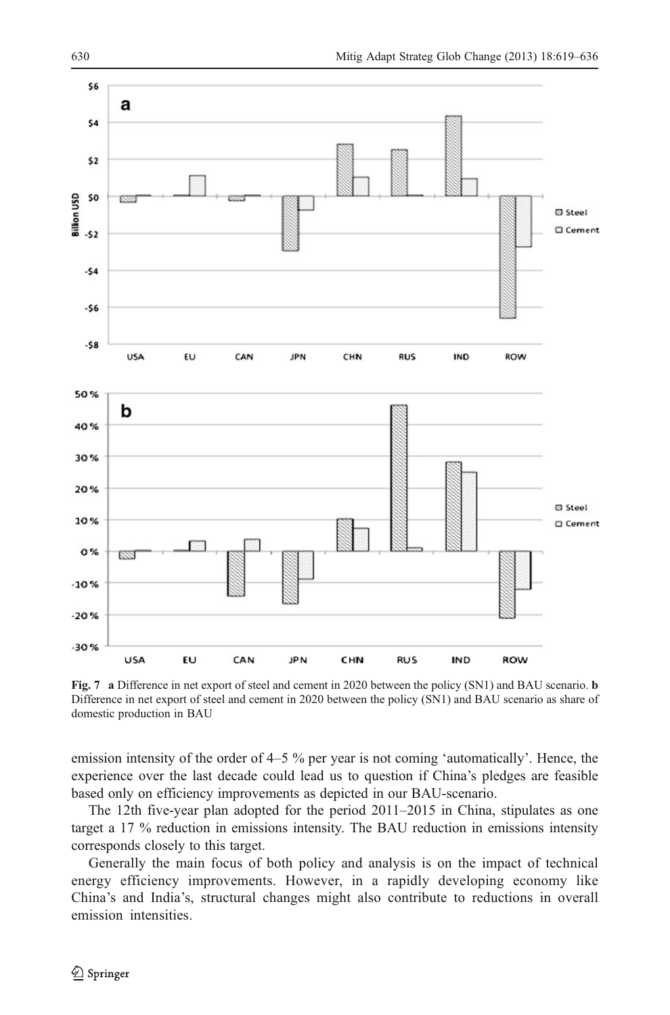<span id="page-11-0"></span>

Fig. 7 a Difference in net export of steel and cement in 2020 between the policy (SN1) and BAU scenario. **b** Difference in net export of steel and cement in 2020 between the policy (SN1) and BAU scenario as share of domestic production in BAU

emission intensity of the order of 4–5 % per year is not coming 'automatically'. Hence, the experience over the last decade could lead us to question if China's pledges are feasible based only on efficiency improvements as depicted in our BAU-scenario.

The 12th five-year plan adopted for the period 2011–2015 in China, stipulates as one target a 17 % reduction in emissions intensity. The BAU reduction in emissions intensity corresponds closely to this target.

Generally the main focus of both policy and analysis is on the impact of technical energy efficiency improvements. However, in a rapidly developing economy like China's and India's, structural changes might also contribute to reductions in overall emission intensities.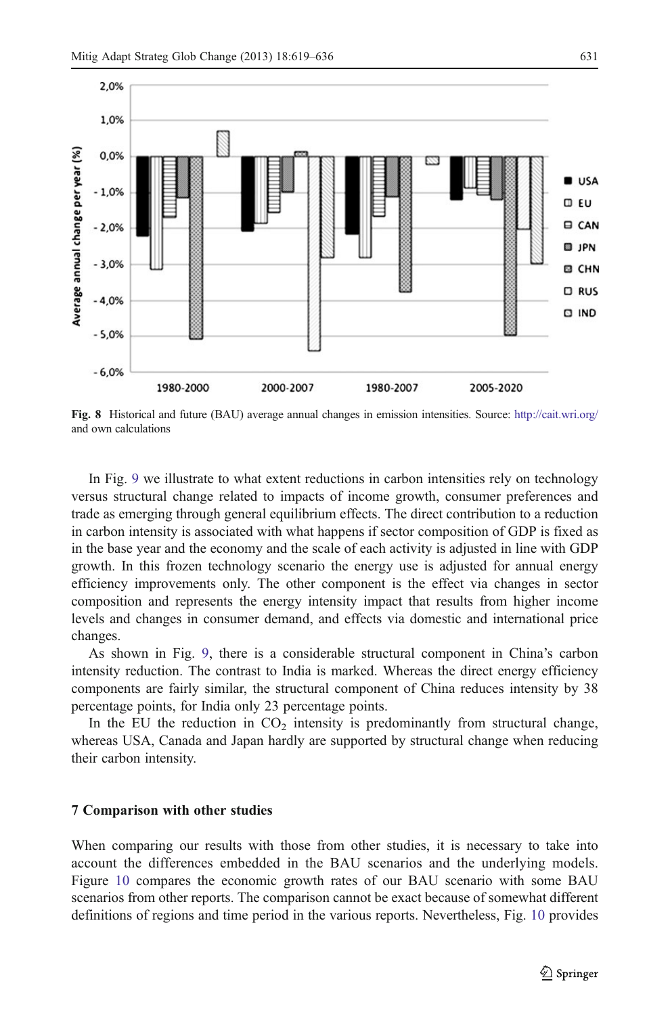<span id="page-12-0"></span>

Fig. 8 Historical and future (BAU) average annual changes in emission intensities. Source: <http://cait.wri.org/> and own calculations

In Fig. [9](#page-13-0) we illustrate to what extent reductions in carbon intensities rely on technology versus structural change related to impacts of income growth, consumer preferences and trade as emerging through general equilibrium effects. The direct contribution to a reduction in carbon intensity is associated with what happens if sector composition of GDP is fixed as in the base year and the economy and the scale of each activity is adjusted in line with GDP growth. In this frozen technology scenario the energy use is adjusted for annual energy efficiency improvements only. The other component is the effect via changes in sector composition and represents the energy intensity impact that results from higher income levels and changes in consumer demand, and effects via domestic and international price changes.

As shown in Fig. [9](#page-13-0), there is a considerable structural component in China's carbon intensity reduction. The contrast to India is marked. Whereas the direct energy efficiency components are fairly similar, the structural component of China reduces intensity by 38 percentage points, for India only 23 percentage points.

In the EU the reduction in  $CO<sub>2</sub>$  intensity is predominantly from structural change, whereas USA, Canada and Japan hardly are supported by structural change when reducing their carbon intensity.

#### 7 Comparison with other studies

When comparing our results with those from other studies, it is necessary to take into account the differences embedded in the BAU scenarios and the underlying models. Figure [10](#page-13-0) compares the economic growth rates of our BAU scenario with some BAU scenarios from other reports. The comparison cannot be exact because of somewhat different definitions of regions and time period in the various reports. Nevertheless, Fig. [10](#page-13-0) provides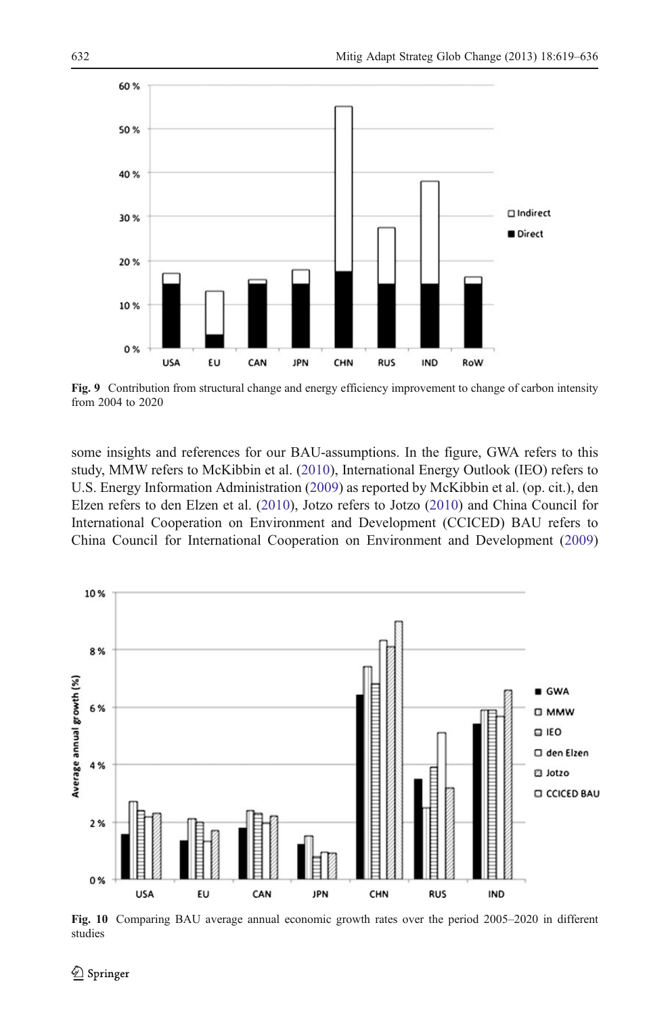<span id="page-13-0"></span>

Fig. 9 Contribution from structural change and energy efficiency improvement to change of carbon intensity from 2004 to 2020

some insights and references for our BAU-assumptions. In the figure, GWA refers to this study, MMW refers to McKibbin et al. ([2010\)](#page-17-0), International Energy Outlook (IEO) refers to U.S. Energy Information Administration [\(2009](#page-17-0)) as reported by McKibbin et al. (op. cit.), den Elzen refers to den Elzen et al. [\(2010](#page-16-0)), Jotzo refers to Jotzo ([2010\)](#page-17-0) and China Council for International Cooperation on Environment and Development (CCICED) BAU refers to China Council for International Cooperation on Environment and Development [\(2009\)](#page-16-0)



Fig. 10 Comparing BAU average annual economic growth rates over the period 2005–2020 in different studies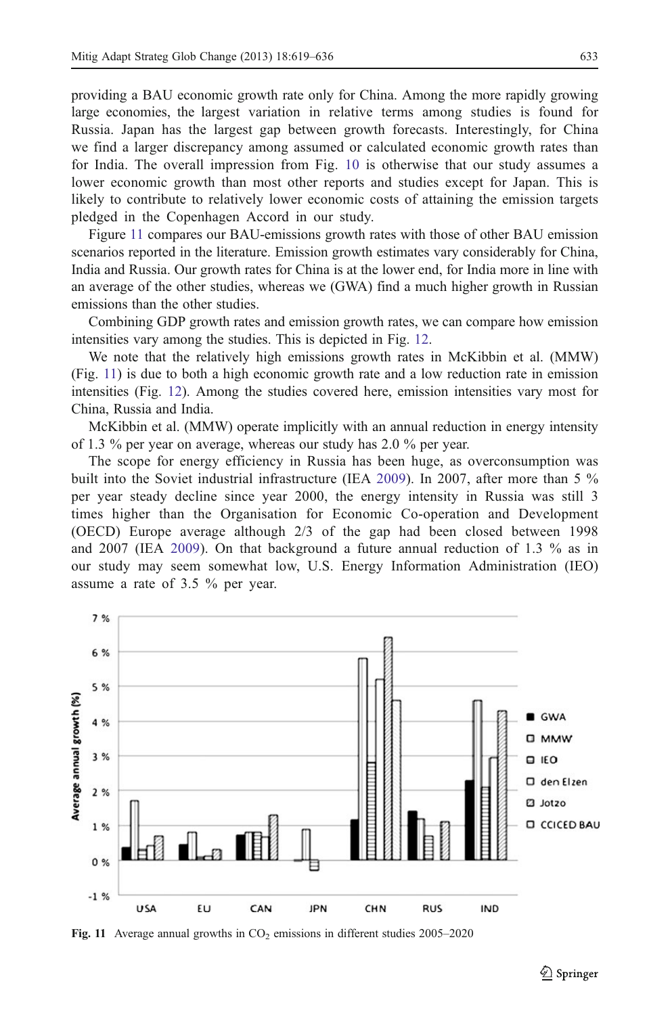providing a BAU economic growth rate only for China. Among the more rapidly growing large economies, the largest variation in relative terms among studies is found for Russia. Japan has the largest gap between growth forecasts. Interestingly, for China we find a larger discrepancy among assumed or calculated economic growth rates than for India. The overall impression from Fig. [10](#page-13-0) is otherwise that our study assumes a lower economic growth than most other reports and studies except for Japan. This is likely to contribute to relatively lower economic costs of attaining the emission targets pledged in the Copenhagen Accord in our study.

Figure 11 compares our BAU-emissions growth rates with those of other BAU emission scenarios reported in the literature. Emission growth estimates vary considerably for China, India and Russia. Our growth rates for China is at the lower end, for India more in line with an average of the other studies, whereas we (GWA) find a much higher growth in Russian emissions than the other studies.

Combining GDP growth rates and emission growth rates, we can compare how emission intensities vary among the studies. This is depicted in Fig. [12](#page-15-0).

We note that the relatively high emissions growth rates in McKibbin et al. (MMW) (Fig. 11) is due to both a high economic growth rate and a low reduction rate in emission intensities (Fig. [12](#page-15-0)). Among the studies covered here, emission intensities vary most for China, Russia and India.

McKibbin et al. (MMW) operate implicitly with an annual reduction in energy intensity of 1.3 % per year on average, whereas our study has 2.0 % per year.

The scope for energy efficiency in Russia has been huge, as overconsumption was built into the Soviet industrial infrastructure (IEA [2009](#page-17-0)). In 2007, after more than 5 % per year steady decline since year 2000, the energy intensity in Russia was still 3 times higher than the Organisation for Economic Co-operation and Development (OECD) Europe average although 2/3 of the gap had been closed between 1998 and 2007 (IEA [2009](#page-17-0)). On that background a future annual reduction of 1.3 % as in our study may seem somewhat low, U.S. Energy Information Administration (IEO) assume a rate of 3.5 % per year.



Fig. 11 Average annual growths in  $CO<sub>2</sub>$  emissions in different studies 2005–2020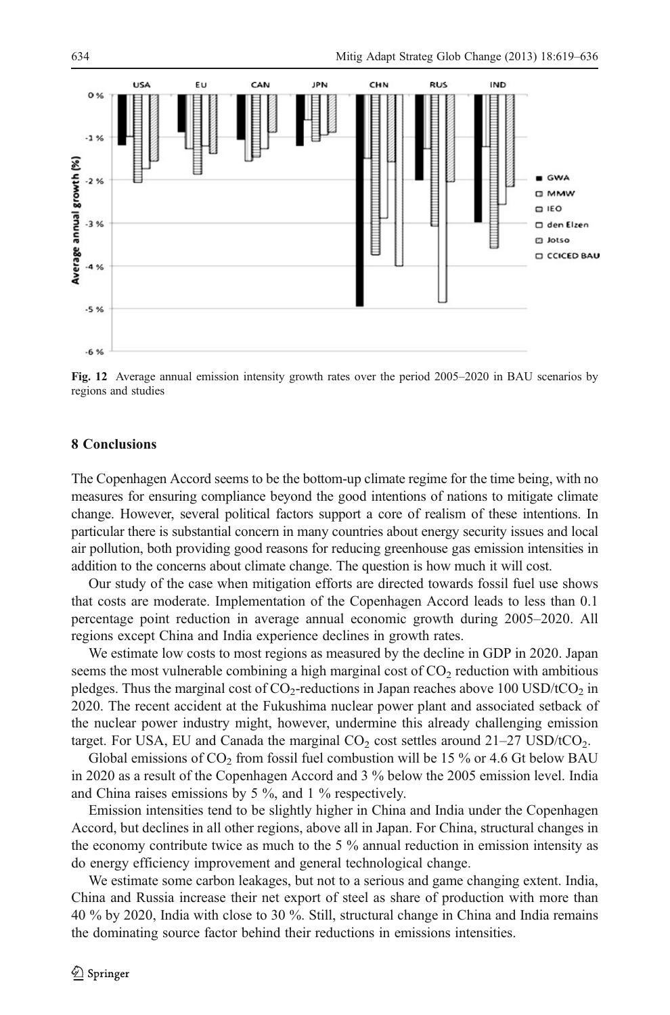<span id="page-15-0"></span>

Fig. 12 Average annual emission intensity growth rates over the period 2005–2020 in BAU scenarios by regions and studies

### 8 Conclusions

The Copenhagen Accord seems to be the bottom-up climate regime for the time being, with no measures for ensuring compliance beyond the good intentions of nations to mitigate climate change. However, several political factors support a core of realism of these intentions. In particular there is substantial concern in many countries about energy security issues and local air pollution, both providing good reasons for reducing greenhouse gas emission intensities in addition to the concerns about climate change. The question is how much it will cost.

Our study of the case when mitigation efforts are directed towards fossil fuel use shows that costs are moderate. Implementation of the Copenhagen Accord leads to less than 0.1 percentage point reduction in average annual economic growth during 2005–2020. All regions except China and India experience declines in growth rates.

We estimate low costs to most regions as measured by the decline in GDP in 2020. Japan seems the most vulnerable combining a high marginal cost of  $CO<sub>2</sub>$  reduction with ambitious pledges. Thus the marginal cost of  $CO_2$ -reductions in Japan reaches above 100 USD/tCO<sub>2</sub> in 2020. The recent accident at the Fukushima nuclear power plant and associated setback of the nuclear power industry might, however, undermine this already challenging emission target. For USA, EU and Canada the marginal  $CO<sub>2</sub>$  cost settles around  $21-27$  USD/tCO<sub>2</sub>.

Global emissions of  $CO<sub>2</sub>$  from fossil fuel combustion will be 15 % or 4.6 Gt below BAU in 2020 as a result of the Copenhagen Accord and 3 % below the 2005 emission level. India and China raises emissions by 5 %, and 1 % respectively.

Emission intensities tend to be slightly higher in China and India under the Copenhagen Accord, but declines in all other regions, above all in Japan. For China, structural changes in the economy contribute twice as much to the 5 % annual reduction in emission intensity as do energy efficiency improvement and general technological change.

We estimate some carbon leakages, but not to a serious and game changing extent. India, China and Russia increase their net export of steel as share of production with more than 40 % by 2020, India with close to 30 %. Still, structural change in China and India remains the dominating source factor behind their reductions in emissions intensities.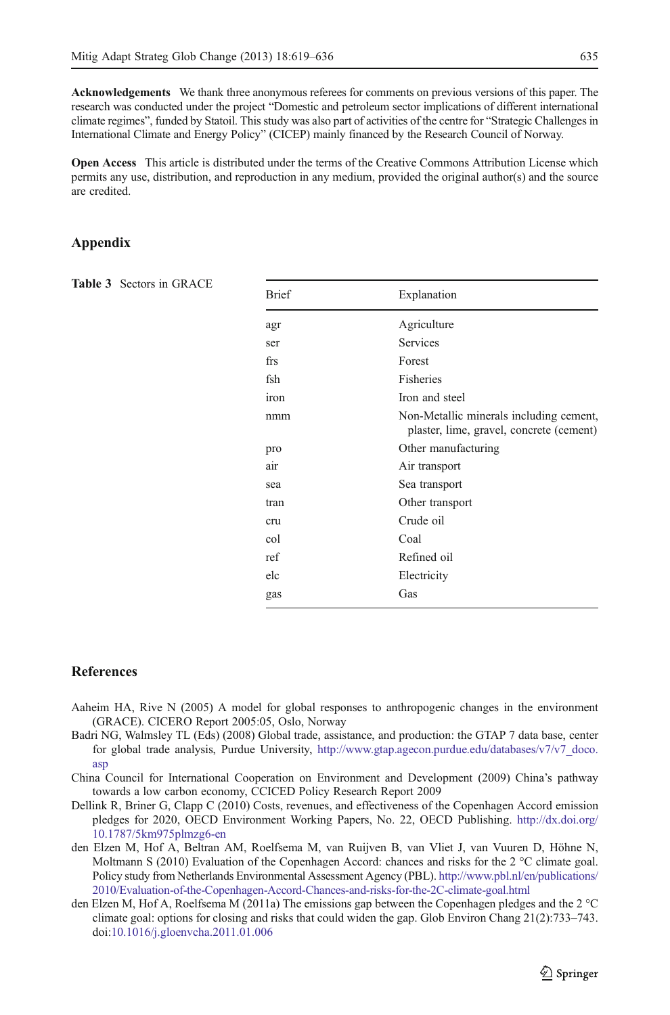<span id="page-16-0"></span>Acknowledgements We thank three anonymous referees for comments on previous versions of this paper. The research was conducted under the project "Domestic and petroleum sector implications of different international climate regimes", funded by Statoil. This study was also part of activities of the centre for "Strategic Challenges in International Climate and Energy Policy" (CICEP) mainly financed by the Research Council of Norway.

Open Access This article is distributed under the terms of the Creative Commons Attribution License which permits any use, distribution, and reproduction in any medium, provided the original author(s) and the source are credited.

#### Appendix

| <b>Brief</b> | Explanation<br>Agriculture                                                          |  |
|--------------|-------------------------------------------------------------------------------------|--|
| agr          |                                                                                     |  |
| ser          | Services                                                                            |  |
| frs          | Forest                                                                              |  |
| fsh          | Fisheries                                                                           |  |
| iron         | Iron and steel                                                                      |  |
| nmm          | Non-Metallic minerals including cement,<br>plaster, lime, gravel, concrete (cement) |  |
| pro          | Other manufacturing                                                                 |  |
| air          | Air transport                                                                       |  |
| sea          | Sea transport                                                                       |  |
| tran         | Other transport                                                                     |  |
| cru          | Crude oil                                                                           |  |
| col          | Coal                                                                                |  |
| ref          | Refined oil                                                                         |  |
| elc          | Electricity                                                                         |  |
| gas          | Gas                                                                                 |  |

Table 3 Sectors in GRACE

#### References

- Aaheim HA, Rive N (2005) A model for global responses to anthropogenic changes in the environment (GRACE). CICERO Report 2005:05, Oslo, Norway
- Badri NG, Walmsley TL (Eds) (2008) Global trade, assistance, and production: the GTAP 7 data base, center for global trade analysis, Purdue University, [http://www.gtap.agecon.purdue.edu/databases/v7/v7\\_doco.](http://www.gtap.agecon.purdue.edu/databases/v7/v7_doco.asp) [asp](http://www.gtap.agecon.purdue.edu/databases/v7/v7_doco.asp)
- China Council for International Cooperation on Environment and Development (2009) China's pathway towards a low carbon economy, CCICED Policy Research Report 2009
- Dellink R, Briner G, Clapp C (2010) Costs, revenues, and effectiveness of the Copenhagen Accord emission pledges for 2020, OECD Environment Working Papers, No. 22, OECD Publishing. [http://dx.doi.org/](http://dx.doi.org/10.1787/5km975plmzg6-en) [10.1787/5km975plmzg6-en](http://dx.doi.org/10.1787/5km975plmzg6-en)
- den Elzen M, Hof A, Beltran AM, Roelfsema M, van Ruijven B, van Vliet J, van Vuuren D, Höhne N, Moltmann S (2010) Evaluation of the Copenhagen Accord: chances and risks for the 2 °C climate goal. Policy study from Netherlands Environmental Assessment Agency (PBL). [http://www.pbl.nl/en/publications/](http://www.pbl.nl/en/publications/2010/Evaluation-of-the-Copenhagen-Accord-Chances-and-risks-for-the-2C-climate-goal.html) [2010/Evaluation-of-the-Copenhagen-Accord-Chances-and-risks-for-the-2C-climate-goal.html](http://www.pbl.nl/en/publications/2010/Evaluation-of-the-Copenhagen-Accord-Chances-and-risks-for-the-2C-climate-goal.html)
- den Elzen M, Hof A, Roelfsema M (2011a) The emissions gap between the Copenhagen pledges and the 2 °C climate goal: options for closing and risks that could widen the gap. Glob Environ Chang 21(2):733–743. doi:[10.1016/j.gloenvcha.2011.01.006](http://dx.doi.org/10.1016/j.gloenvcha.2011.01.006)